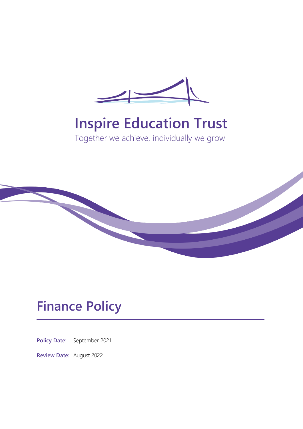

# **Inspire Education Trust**

Together we achieve, individually we grow



## **Finance Policy**

**Policy Date:** September 2021

**Review Date:** August 2022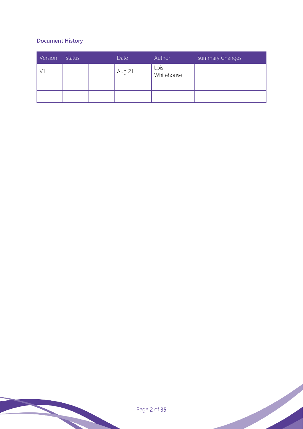## **Document History**

| Version | <b>Status</b> | Date   | Author             | Summary Changes |
|---------|---------------|--------|--------------------|-----------------|
| V1      |               | Aug 21 | Lois<br>Whitehouse |                 |
|         |               |        |                    |                 |
|         |               |        |                    |                 |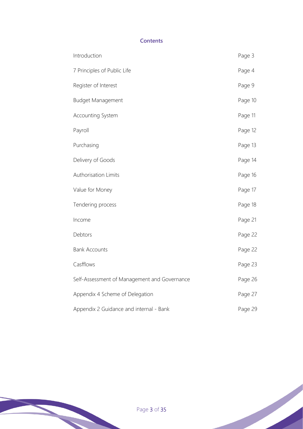## **Contents**

| Introduction                                 | Page 3  |
|----------------------------------------------|---------|
| 7 Principles of Public Life                  | Page 4  |
| Register of Interest                         | Page 9  |
| Budget Management                            | Page 10 |
| Accounting System                            | Page 11 |
| Payroll                                      | Page 12 |
| Purchasing                                   | Page 13 |
| Delivery of Goods                            | Page 14 |
| Authorisation Limits                         | Page 16 |
| Value for Money                              | Page 17 |
| Tendering process                            | Page 18 |
| Income                                       | Page 21 |
| Debtors                                      | Page 22 |
| <b>Bank Accounts</b>                         | Page 22 |
| Casfflows                                    | Page 23 |
| Self-Assessment of Management and Governance | Page 26 |
| Appendix 4 Scheme of Delegation              | Page 27 |
| Appendix 2 Guidance and internal - Bank      | Page 29 |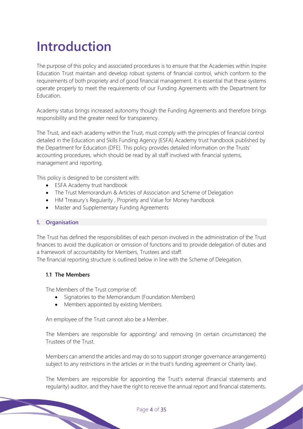## **Introduction**

The purpose of this policy and associated procedures is to ensure that the Academies within Inspire Education Trust maintain and develop robust systems of financial control, which conform to the requirements of both propriety and of good financial management. It is essential that these systems operate properly to meet the requirements of our Funding Agreements with the Department for Education.

Academy status brings increased autonomy though the Funding Agreements and therefore brings responsibility and the greater need for transparency.

The Trust, and each academy within the Trust, must comply with the principles of financial control detailed in the Education and Skills Funding Agency (ESFA) Academy trust handbook published by the Department for Education (DFE). This policy provides detailed information on the Trusts' accounting procedures, which should be read by all staff involved with financial systems, management and reporting.

This policy is designed to be consistent with:

- ESFA Academy trust handbook
- The Trust Memorandum & Articles of Association and Scheme of Delegation
- HM Treasury's Regularity , Propriety and Value for Money handbook
- Master and Supplementary Funding Agreements

#### **1. Organisation**

The Trust has defined the responsibilities of each person involved in the administration of the Trust finances to avoid the duplication or omission of functions and to provide delegation of duties and a framework of accountability for Members, Trustees and staff.

The financial reporting structure is outlined below in line with the Scheme of Delegation.

#### **1.1 The Members**

The Members of the Trust comprise of:

- Signatories to the Memorandum (Foundation Members)
- Members appointed by existing Members.

An employee of the Trust cannot also be a Member.

The Members are responsible for appointing/ and removing (in certain circumstances) the Trustees of the Trust.

Members can amend the articles and may do so to support stronger governance arrangements) subject to any restrictions in the articles or in the trust's funding agreement or Charity law).

The Members are responsible for appointing the Trust's external (financial statements and regularity) auditor, and they have the right to receive the annual report and financial statements.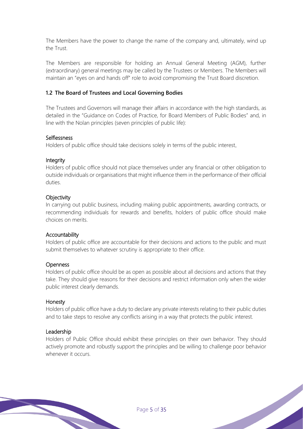The Members have the power to change the name of the company and, ultimately, wind up the Trust.

The Members are responsible for holding an Annual General Meeting (AGM), further (extraordinary) general meetings may be called by the Trustees or Members. The Members will maintain an "eyes on and hands off" role to avoid compromising the Trust Board discretion.

#### **1.2 The Board of Trustees and Local Governing Bodies**

The Trustees and Governors will manage their affairs in accordance with the high standards, as detailed in the "Guidance on Codes of Practice, for Board Members of Public Bodies" and, in line with the Nolan principles (seven principles of public life):

#### Selflessness

Holders of public office should take decisions solely in terms of the public interest.

#### **Integrity**

Holders of public office should not place themselves under any financial or other obligation to outside individuals or organisations that might influence them in the performance of their official duties.

#### **Objectivity**

In carrying out public business, including making public appointments, awarding contracts, or recommending individuals for rewards and benefits, holders of public office should make choices on merits.

#### Accountability

Holders of public office are accountable for their decisions and actions to the public and must submit themselves to whatever scrutiny is appropriate to their office.

#### **Openness**

Holders of public office should be as open as possible about all decisions and actions that they take. They should give reasons for their decisions and restrict information only when the wider public interest clearly demands.

#### Honesty

Holders of public office have a duty to declare any private interests relating to their public duties and to take steps to resolve any conflicts arising in a way that protects the public interest.

#### Leadership

Holders of Public Office should exhibit these principles on their own behavior. They should actively promote and robustly support the principles and be willing to challenge poor behavior whenever it occurs.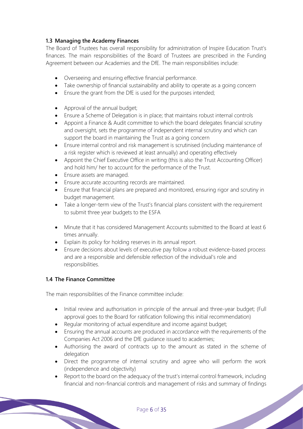## **1.3 Managing the Academy Finances**

The Board of Trustees has overall responsibility for administration of Inspire Education Trust's finances. The main responsibilities of the Board of Trustees are prescribed in the Funding Agreement between our Academies and the DfE. The main responsibilities include:

- Overseeing and ensuring effective financial performance.
- Take ownership of financial sustainability and ability to operate as a going concern
- Ensure the grant from the DfE is used for the purposes intended;
- Approval of the annual budget;
- Ensure a Scheme of Delegation is in place; that maintains robust internal controls
- Appoint a Finance & Audit committee to which the board delegates financial scrutiny and oversight, sets the programme of independent internal scrutiny and which can support the board in maintaining the Trust as a going concern
- Ensure internal control and risk management is scrutinised (including maintenance of a risk register which is reviewed at least annually) and operating effectively
- Appoint the Chief Executive Office in writing (this is also the Trust Accounting Officer) and hold him/ her to account for the performance of the Trust.
- Ensure assets are managed.
- Ensure accurate accounting records are maintained.
- Ensure that financial plans are prepared and monitored, ensuring rigor and scrutiny in budget management.
- Take a longer-term view of the Trust's financial plans consistent with the requirement to submit three year budgets to the ESFA
- Minute that it has considered Management Accounts submitted to the Board at least 6 times annually.
- Explain its policy for holding reserves in its annual report.
- Ensure decisions about levels of executive pay follow a robust evidence-based process and are a responsible and defensible reflection of the individual's role and responsibilities.

#### **1.4 The Finance Committee**

The main responsibilities of the Finance committee include:

- Initial review and authorisation in principle of the annual and three-year budget; (Full approval goes to the Board for ratification following this initial recommendation)
- Regular monitoring of actual expenditure and income against budget;
- Ensuring the annual accounts are produced in accordance with the requirements of the Companies Act 2006 and the DfE guidance issued to academies;
- Authorising the award of contracts up to the amount as stated in the scheme of delegation
- Direct the programme of internal scrutiny and agree who will perform the work (independence and objectivity)
- Report to the board on the adequacy of the trust's internal control framework, including financial and non-financial controls and management of risks and summary of findings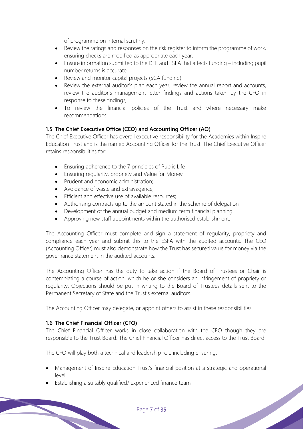of programme on internal scrutiny.

- Review the ratings and responses on the risk register to inform the programme of work, ensuring checks are modified as appropriate each year.
- Ensure information submitted to the DFE and ESFA that affects funding including pupil number returns is accurate.
- Review and monitor capital projects (SCA funding)
- Review the external auditor's plan each year, review the annual report and accounts, review the auditor's management letter findings and actions taken by the CFO in response to these findings,
- To review the financial policies of the Trust and where necessary make recommendations.

## **1.5 The Chief Executive Office (CEO) and Accounting Officer (AO)**

The Chief Executive Officer has overall executive responsibility for the Academies within Inspire Education Trust and is the named Accounting Officer for the Trust. The Chief Executive Officer retains responsibilities for:

- Ensuring adherence to the 7 principles of Public Life
- Ensuring regularity, propriety and Value for Money
- Prudent and economic administration;
- Avoidance of waste and extravagance;
- Efficient and effective use of available resources:
- Authorising contracts up to the amount stated in the scheme of delegation
- Development of the annual budget and medium term financial planning
- Approving new staff appointments within the authorised establishment;

The Accounting Officer must complete and sign a statement of regularity, propriety and compliance each year and submit this to the ESFA with the audited accounts. The CEO (Accounting Officer) must also demonstrate how the Trust has secured value for money via the governance statement in the audited accounts.

The Accounting Officer has the duty to take action if the Board of Trustees or Chair is contemplating a course of action, which he or she considers an infringement of propriety or regularity. Objections should be put in writing to the Board of Trustees details sent to the Permanent Secretary of State and the Trust's external auditors.

The Accounting Officer may delegate, or appoint others to assist in these responsibilities.

#### **1.6 The Chief Financial Officer (CFO)**

The Chief Financial Officer works in close collaboration with the CEO though they are responsible to the Trust Board. The Chief Financial Officer has direct access to the Trust Board.

The CFO will play both a technical and leadership role including ensuring:

• Management of Inspire Education Trust's financial position at a strategic and operational level

Establishing a suitably qualified/ experienced finance team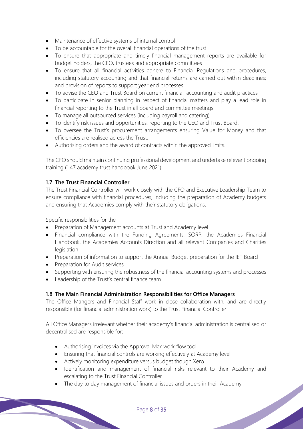- Maintenance of effective systems of internal control
- To be accountable for the overall financial operations of the trust
- To ensure that appropriate and timely financial management reports are available for budget holders, the CEO, trustees and appropriate committees
- To ensure that all financial activities adhere to Financial Regulations and procedures, including statutory accounting and that financial returns are carried out within deadlines; and provision of reports to support year end processes
- To advise the CEO and Trust Board on current financial, accounting and audit practices
- To participate in senior planning in respect of financial matters and play a lead role in financial reporting to the Trust in all board and committee meetings
- To manage all outsourced services (including payroll and catering)
- To identify risk issues and opportunities, reporting to the CEO and Trust Board.
- To oversee the Trust's procurement arrangements ensuring Value for Money and that efficiencies are realised across the Trust.
- Authorising orders and the award of contracts within the approved limits.

The CFO should maintain continuing professional development and undertake relevant ongoing training (1.47 academy trust handbook June 2021)

#### **1.7 The Trust Financial Controller**

The Trust Financial Controller will work closely with the CFO and Executive Leadership Team to ensure compliance with financial procedures, including the preparation of Academy budgets and ensuring that Academies comply with their statutory obligations.

Specific responsibilities for the -

- Preparation of Management accounts at Trust and Academy level
- Financial compliance with the Funding Agreements, SORP, the Academies Financial Handbook, the Academies Accounts Direction and all relevant Companies and Charities legislation
- Preparation of information to support the Annual Budget preparation for the IET Board
- Preparation for Audit services
- Supporting with ensuring the robustness of the financial accounting systems and processes
- Leadership of the Trust's central finance team

#### **1.8 The Main Financial Administration Responsibilities for Office Managers**

The Office Mangers and Financial Staff work in close collaboration with, and are directly responsible (for financial administration work) to the Trust Financial Controller.

All Office Managers irrelevant whether their academy's financial administration is centralised or decentralised are responsible for:

- Authorising invoices via the Approval Max work flow tool
- Ensuring that financial controls are working effectively at Academy level
- Actively monitoring expenditure versus budget though Xero
- Identification and management of financial risks relevant to their Academy and escalating to the Trust Financial Controller

• The day to day management of financial issues and orders in their Academy

#### Page 8 of 35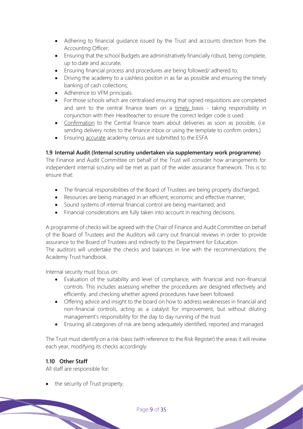- Adhering to financial guidance issued by the Trust and accounts direction from the Accounting Officer;
- Ensuring that the school Budgets are administratively financially robust, being complete, up to date and accurate;
- Ensuring financial process and procedures are being followed/ adhered to;
- Driving the academy to a cashless positon in as far as possible and ensuring the timely banking of cash collections;
- Adherence to VFM principals.
- For those schools which are centralised ensuring that signed requisitions are completed and sent to the central finance team on a timely basis - taking responsibility in conjunction with their Headteacher to ensure the correct ledger code is used.
- Confirmation to the Central finance team about deliveries as soon as possible, (i.e. sending delivery notes to the finance inbox or using the template to confirm orders.)
- Ensuring accurate academy census are submitted to the ESFA

#### **1.9 Internal Audit (Internal scrutiny undertaken via supplementary work programme)**

The Finance and Audit Committee on behalf of the Trust will consider how arrangements for independent internal scrutiny will be met as part of the wider assurance framework. This is to ensure that:

- The financial responsibilities of the Board of Trustees are being properly discharged;
- Resources are being managed in an efficient; economic and effective manner;
- Sound systems of internal financial control are being maintained; and
- Financial considerations are fully taken into account in reaching decisions.

A programme of checks will be agreed with the Chair of Finance and Audit Committee on behalf of the Board of Trustees and the Auditors will carry out financial reviews in order to provide assurance to the Board of Trustees and indirectly to the Department for Education.

The auditors will undertake the checks and balances in line with the recommendations the Academy Trust handbook.

Internal security must focus on:

- Evaluation of the suitability and level of compliance, with financial and non-financial controls. This includes assessing whether the procedures are designed effectively and efficiently, and checking whether agreed procedures have been followed.
- Offering advice and insight to the board on how to address weaknesses in financial and non-financial controls, acting as a catalyst for improvement, but without diluting management's responsibility for the day to day running of the trust
- Ensuring all categories of risk are being adequately identified, reported and managed.

The Trust must identify on a risk-basis (with reference to the Risk Register) the areas it will review each year, modifying its checks accordingly.

#### **1.10 Other Staff**

All staff are responsible for:

• the security of Trust property,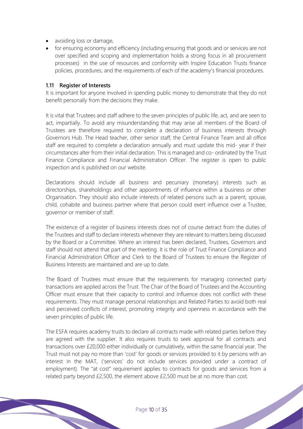- avoiding loss or damage,
- for ensuring economy and efficiency (including ensuring that goods and or services are not over specified and scoping and implementation holds a strong focus in all procurement processes) in the use of resources and conformity with Inspire Education Trusts finance policies, procedures, and the requirements of each of the academy's financial procedures.

#### **1.11 Register of Interests**

It is important for anyone involved in spending public money to demonstrate that they do not benefit personally from the decisions they make.

It is vital that Trustees and staff adhere to the seven principles of public life, act, and are seen to act, impartially. To avoid any misunderstanding that may arise all members of the Board of Trustees are therefore required to complete a declaration of business interests through Governors Hub. The Head teacher, other senior staff, the Central Finance Team and all office staff are required to complete a declaration annually and must update this mid- year if their circumstances alter from their initial declaration. This is managed and co- ordinated by the Trust Finance Compliance and Financial Administration Officer. The register is open to public inspection and is published on our website.

Declarations should include all business and pecuniary (monetary) interests such as directorships, shareholdings and other appointments of influence within a business or other Organisation. They should also include interests of related persons such as a parent, spouse, child, cohabite and business partner where that person could exert influence over a Trustee, governor or member of staff.

The existence of a register of business interests does not of course detract from the duties of the Trustees and staff to declare interests whenever they are relevant to matters being discussed by the Board or a Committee. Where an interest has been declared, Trustees, Governors and staff should not attend that part of the meeting. It is the role of Trust Finance Compliance and Financial Administration Officer and Clerk to the Board of Trustees to ensure the Register of Business Interests are maintained and are up to date.

The Board of Trustees must ensure that the requirements for managing connected party transactions are applied across the Trust. The Chair of the Board of Trustees and the Accounting Officer must ensure that their capacity to control and influence does not conflict with these requirements. They must manage personal relationships and Related Parties to avoid both real and perceived conflicts of interest, promoting integrity and openness in accordance with the seven principles of public life.

The ESFA requires academy trusts to declare all contracts made with related parties before they are agreed with the supplier. It also requires trusts to seek approval for all contracts and transactions over £20,000 either individually or cumulatively, within the same financial year. The Trust must not pay no more than 'cost' for goods or services provided to it by persons with an interest in the MAT, ('services' do not include services provided under a contract of employment). The "at cost" requirement applies to contracts for goods and services from a related party beyond £2,500, the element above £2,500 must be at no more than cost.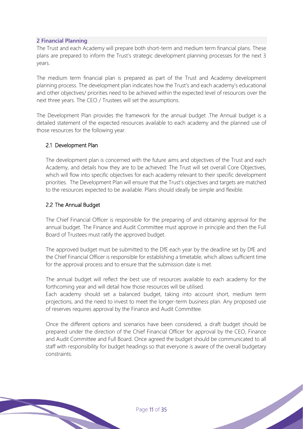#### **2 Financial Planning**

The Trust and each Academy will prepare both short-term and medium term financial plans. These plans are prepared to inform the Trust's strategic development planning processes for the next 3 years.

The medium term financial plan is prepared as part of the Trust and Academy development planning process. The development plan indicates how the Trust's and each academy's educational and other objectives/ priorities need to be achieved within the expected level of resources over the next three years. The CEO / Trustees will set the assumptions.

The Development Plan provides the framework for the annual budget .The Annual budget is a detailed statement of the expected resources available to each academy and the planned use of those resources for the following year.

#### 2.1 Development Plan

The development plan is concerned with the future aims and objectives of the Trust and each Academy, and details how they are to be achieved: The Trust will set overall Core Objectives, which will flow into specific objectives for each academy relevant to their specific development priorities. The Development Plan will ensure that the Trust's objectives and targets are matched to the resources expected to be available. Plans should ideally be simple and flexible.

#### 2.2 The Annual Budget

The Chief Financial Officer is responsible for the preparing of and obtaining approval for the annual budget. The Finance and Audit Committee must approve in principle and then the Full Board of Trustees must ratify the approved budget.

The approved budget must be submitted to the DfE each year by the deadline set by DfE and the Chief Financial Officer is responsible for establishing a timetable, which allows sufficient time for the approval process and to ensure that the submission date is met.

The annual budget will reflect the best use of resources available to each academy for the forthcoming year and will detail how those resources will be utilised.

Each academy should set a balanced budget, taking into account short, medium term projections, and the need to invest to meet the longer-term business plan. Any proposed use of reserves requires approval by the Finance and Audit Committee.

Once the different options and scenarios have been considered, a draft budget should be prepared under the direction of the Chief Financial Officer for approval by the CEO, Finance and Audit Committee and Full Board. Once agreed the budget should be communicated to all staff with responsibility for budget headings so that everyone is aware of the overall budgetary constraints.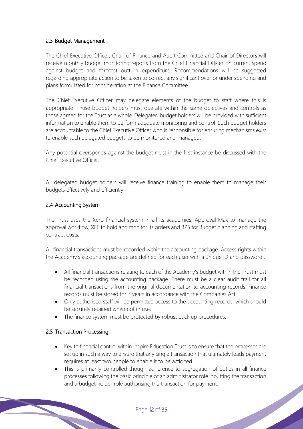## 2.3 Budget Management

The Chief Executive Officer, Chair of Finance and Audit Committee and Chair of Directors will receive monthly budget monitoring reports from the Chief Financial Officer on current spend against budget and forecast outturn expenditure. Recommendations will be suggested regarding appropriate action to be taken to correct any significant over or under spending and plans formulated for consideration at the Finance Committee.

The Chief Executive Officer may delegate elements of the budget to staff where this is appropriate. These budget holders must operate within the same objectives and controls as those agreed for the Trust as a whole. Delegated budget holders will be provided with sufficient information to enable them to perform adequate monitoring and control. Such budget holders are accountable to the Chief Executive Officer who is responsible for ensuring mechanisms exist to enable such delegated budgets to be monitored and managed.

Any potential overspends against the budget must in the first instance be discussed with the Chief Executive Officer.

All delegated budget holders will receive finance training to enable them to manage their budgets effectively and efficiently.

## 2.4 Accounting System

The Trust uses the Xero financial system in all its academies, Approval Max to manage the approval workflow, XFE to hold and monitor its orders and BPS for Budget planning and staffing contract costs.

All financial transactions must be recorded within the accounting package. Access rights within the Academy's accounting package are defined for each user with a unique ID and password..

- All financial transactions relating to each of the Academy's budget within the Trust must be recorded using the accounting package. There must be a clear audit trail for all financial transactions from the original documentation to accounting records. Finance records must be stored for 7 years in accordance with the Companies Act.
- Only authorised staff will be permitted access to the accounting records, which should be securely retained when not in use.
- The finance system must be protected by robust back up procedures.

## 2.5 Transaction Processing

- Key to financial control within Inspire Education Trust is to ensure that the processes are set up in such a way to ensure that any single transaction that ultimately leads payment requires at least two people to enable it to be actioned.
- This is primarily controlled though adherence to segregation of duties in all finance processes following the basic principle of an administrator role inputting the transaction and a budget holder role authorising the transaction for payment.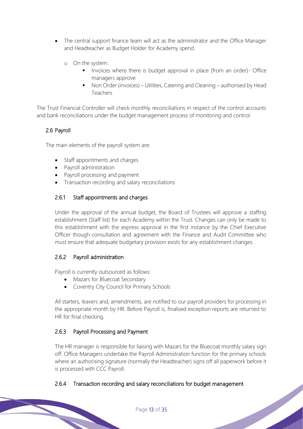- The central support finance team will act as the administrator and the Office Manager and Headteacher as Budget Holder for Academy spend.
	- o On the system:
		- **■** Invoices where there is budget approval in place (from an order)- Office managers approve
		- Non Order (invoices) Utilities, Catering and Cleaning authorised by Head Teachers

The Trust Financial Controller will check monthly reconciliations in respect of the control accounts and bank reconciliations under the budget management process of monitoring and control.

## 2.6 Payroll

The main elements of the payroll system are:

- Staff appointments and charges
- Payroll administration
- Payroll processing and payment
- Transaction recording and salary reconciliations

## 2.6.1 Staff appointments and charges

Under the approval of the annual budget, the Board of Trustees will approve a staffing establishment (Staff list) for each Academy within the Trust. Changes can only be made to this establishment with the express approval in the first instance by the Chief Executive Officer though consultation and agreement with the Finance and Audit Committee who must ensure that adequate budgetary provision exists for any establishment changes.

## 2.6.2 Payroll administration

Payroll is currently outsourced as follows:

- Mazars for Bluecoat Secondary
- Coventry City Council for Primary Schools

All starters, leavers and, amendments, are notified to our payroll providers for processing in the appropriate month by HR. Before Payroll is, finalised exception reports are returned to HR for final checking.

## 2.6.3 Payroll Processing and Payment

The HR manager is responsible for liaising with Mazars for the Bluecoat monthly salary sign off. Office Managers undertake the Payroll Administration function for the primary schools where an authorising signature (normally the Headteacher) signs off all paperwork before it is processed with CCC Payroll.

## 2.6.4 Transaction recording and salary reconciliations for budget management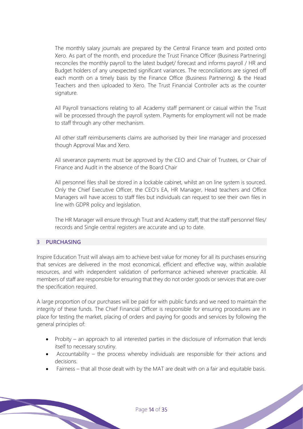The monthly salary journals are prepared by the Central Finance team and posted onto Xero. As part of the month, end procedure the Trust Finance Officer (Business Partnering) reconciles the monthly payroll to the latest budget/ forecast and informs payroll / HR and Budget holders of any unexpected significant variances. The reconciliations are signed off each month on a timely basis by the Finance Office (Business Partnering) & the Head Teachers and then uploaded to Xero. The Trust Financial Controller acts as the counter signature.

All Payroll transactions relating to all Academy staff permanent or casual within the Trust will be processed through the payroll system. Payments for employment will not be made to staff through any other mechanism.

All other staff reimbursements claims are authorised by their line manager and processed though Approval Max and Xero.

All severance payments must be approved by the CEO and Chair of Trustees, or Chair of Finance and Audit in the absence of the Board Chair

All personnel files shall be stored in a lockable cabinet, whilst an on line system is sourced. Only the Chief Executive Officer, the CEO's EA, HR Manager, Head teachers and Office Managers will have access to staff files but individuals can request to see their own files in line with GDPR policy and legislation.

The HR Manager will ensure through Trust and Academy staff, that the staff personnel files/ records and Single central registers are accurate and up to date.

#### **3 PURCHASING**

Inspire Education Trust will always aim to achieve best value for money for all its purchases ensuring that services are delivered in the most economical, efficient and effective way, within available resources, and with independent validation of performance achieved wherever practicable. All members of staff are responsible for ensuring that they do not order goods or services that are over the specification required.

A large proportion of our purchases will be paid for with public funds and we need to maintain the integrity of these funds. The Chief Financial Officer is responsible for ensuring procedures are in place for testing the market, placing of orders and paying for goods and services by following the general principles of:

- Probity an approach to all interested parties in the disclosure of information that lends itself to necessary scrutiny.
- Accountability the process whereby individuals are responsible for their actions and decisions.
- Fairness that all those dealt with by the MAT are dealt with on a fair and equitable basis.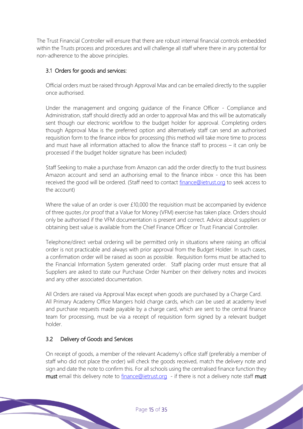The Trust Financial Controller will ensure that there are robust internal financial controls embedded within the Trusts process and procedures and will challenge all staff where there in any potential for non-adherence to the above principles.

## 3.1 Orders for goods and services:

Official orders must be raised through Approval Max and can be emailed directly to the supplier once authorised.

Under the management and ongoing guidance of the Finance Officer - Compliance and Administration, staff should directly add an order to approval Max and this will be automatically sent though our electronic workflow to the budget holder for approval. Completing orders though Approval Max is the preferred option and alternatively staff can send an authorised requisition form to the finance inbox for processing (this method will take more time to process and must have all information attached to allow the finance staff to process – it can only be processed if the budget holder signature has been included)

Staff Seeking to make a purchase from Amazon can add the order directly to the trust business Amazon account and send an authorising email to the finance inbox - once this has been received the good will be ordered. (Staff need to contact [finance@ietrust.org](mailto:finance@ietrust.org) to seek access to the account)

Where the value of an order is over £10,000 the requisition must be accompanied by evidence of three quotes /or proof that a Value for Money (VFM) exercise has taken place. Orders should only be authorised if the VFM documentation is present and correct. Advice about suppliers or obtaining best value is available from the Chief Finance Officer or Trust Financial Controller.

Telephone/direct verbal ordering will be permitted only in situations where raising an official order is not practicable and always with prior approval from the Budget Holder. In such cases, a confirmation order will be raised as soon as possible. Requisition forms must be attached to the Financial Information System generated order. Staff placing order must ensure that all Suppliers are asked to state our Purchase Order Number on their delivery notes and invoices and any other associated documentation.

All Orders are raised via Approval Max except when goods are purchased by a Charge Card. All Primary Academy Office Mangers hold charge cards, which can be used at academy level and purchase requests made payable by a charge card, which are sent to the central finance team for processing, must be via a receipt of requisition form signed by a relevant budget holder.

## 3.2 Delivery of Goods and Services

On receipt of goods, a member of the relevant Academy's office staff (preferably a member of staff who did not place the order) will check the goods received, match the delivery note and sign and date the note to confirm this. For all schools using the centralised finance function they must email this delivery note to [finance@ietrust.org](mailto:finance@ietrust.org) - if there is not a delivery note staff must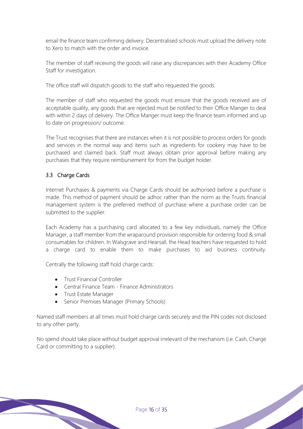email the finance team confirming delivery. Decentralised schools must upload the delivery note to Xero to match with the order and invoice.

The member of staff receiving the goods will raise any discrepancies with their Academy Office Staff for investigation.

The office staff will dispatch goods to the staff who requested the goods.

The member of staff who requested the goods must ensure that the goods received are of acceptable quality, any goods that are rejected must be notified to their Office Manger to deal with within 2 days of delivery. The Office Manger must keep the finance team informed and up to date on progression/ outcome.

The Trust recognises that there are instances when it is not possible to process orders for goods and services in the normal way and items such as ingredients for cookery may have to be purchased and claimed back. Staff must always obtain prior approval before making any purchases that they require reimbursement for from the budget holder.

## 3.3 Charge Cards

Internet Purchases & payments via Charge Cards should be authorised before a purchase is made. This method of payment should be adhoc rather than the norm as the Trusts financial management system is the preferred method of purchase where a purchase order can be submitted to the supplier.

Each Academy has a purchasing card allocated to a few key individuals, namely the Office Manager, a staff member from the wraparound provision responsible for ordering food & small consumables for children. In Walsgrave and Hearsall, the Head teachers have requested to hold a charge card to enable them to make purchases to aid business continuity.

Centrally the following staff hold charge cards:

- Trust Financial Controller
- Central Finance Team Finance Administrators
- Trust Estate Manager
- Senior Premises Manager (Primary Schools)

Named staff members at all times must hold charge cards securely and the PIN codes not disclosed to any other party.

No spend should take place without budget approval irrelevant of the mechanism (i.e. Cash, Charge Card or committing to a supplier).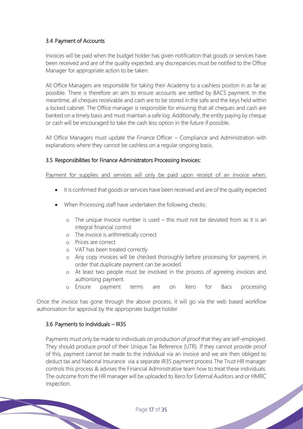## 3.4 Payment of Accounts

Invoices will be paid when the budget holder has given notification that goods or services have been received and are of the quality expected; any discrepancies must be notified to the Office Manager for appropriate action to be taken.

All Office Managers are responsible for taking their Academy to a cashless positon in as far as possible. There is therefore an aim to ensure accounts are settled by BACS payment. In the meantime, all cheques receivable and cash are to be stored in the safe and the keys held within a locked cabinet. The Office manager is responsible for ensuring that all cheques and cash are banked on a timely basis and must maintain a safe log. Additionally, the entity paying by cheque or cash will be encouraged to take the cash less option in the future if possible.

All Office Managers must update the Finance Officer – Compliance and Administration with explanations where they cannot be cashless on a regular ongoing basis.

#### 3.5 Responsibilities for Finance Administrators Processing Invoices:

Payment for supplies and services will only be paid upon receipt of an invoice when:

- It is confirmed that goods or services have been received and are of the quality expected
- When Processing staff have undertaken the following checks:
	- o The unique Invoice number is used this must not be deviated from as it is an integral financial control
	- o The invoice is arithmetically correct
	- o Prices are correct
	- o VAT has been treated correctly
	- o Any copy invoices will be checked thoroughly before processing for payment, in order that duplicate payment can be avoided.
	- o At least two people must be involved in the process of agreeing invoices and authorising payment.
	- o Ensure payment terms are on Xero for Bacs processing

Once the invoice has gone through the above process, it will go via the web based workflow authorisation for approval by the appropriate budget holder

#### 3.6 Payments to Individuals – IR35

Payments must only be made to individuals on production of proof that they are self-employed. They should produce proof of their Unique Tax Reference (UTR). If they cannot provide proof of this, payment cannot be made to the individual via an invoice and we are then obliged to deduct tax and National Insurance via a separate IR35 payment process The Trust HR manager controls this process & advises the Financial Administrative team how to treat these individuals. The outcome from the HR manager will be uploaded to Xero for External Auditors and or HMRC inspection.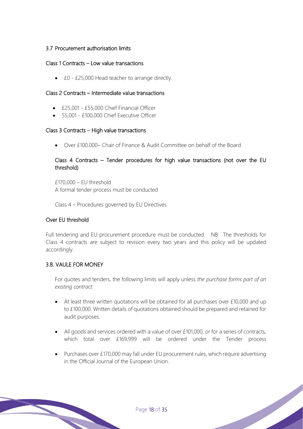#### 3.7 Procurement authorisation limits

#### Class 1 Contracts – Low value transactions

• £0 - £25,000 Head teacher to arrange directly.

#### Class 2 Contracts – Intermediate value transactions

- £25,001 £55,000 Chief Financial Officer
- 55,001 £100,000 Chief Executive Officer

#### Class 3 Contracts – High value transactions

• Over £100,000– Chair of Finance & Audit Committee on behalf of the Board

### Class 4 Contracts – Tender procedures for high value transactions (not over the EU threshold)

 $£170,000 - EU$  threshold A formal tender process must be conducted

Class 4 – Procedures governed by EU Directives

#### Over EU threshold

Full tendering and EU procurement procedure must be conducted. NB: The thresholds for Class 4 contracts are subject to revision every two years and this policy will be updated accordingly.

#### 3.8. VAULE FOR MONEY

For quotes and tenders, the following limits will apply unless *the purchase forms part of an existing contract:*

- At least three written quotations will be obtained for all purchases over £10,000 and up to £100,000. Written details of quotations obtained should be prepared and retained for audit purposes.
- All goods and services ordered with a value of over £101,000, or for a series of contracts, which total over £169,999 will be ordered under the Tender process
- Purchases over £170,000 may fall under EU procurement rules, which require advertising in the Official Journal of the European Union.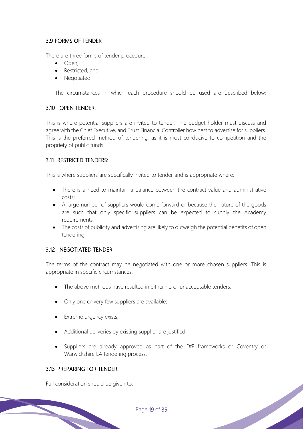## 3.9 FORMS OF TENDER

There are three forms of tender procedure:

- Open,
- Restricted, and
- Negotiated

The circumstances in which each procedure should be used are described below:

#### 3.10 OPEN TENDER:

This is where potential suppliers are invited to tender. The budget holder must discuss and agree with the Chief Executive, and Trust Financial Controller how best to advertise for suppliers. This is the preferred method of tendering, as it is most conducive to competition and the propriety of public funds.

#### 3.11 RESTRICED TENDERS:

This is where suppliers are specifically invited to tender and is appropriate where:

- There is a need to maintain a balance between the contract value and administrative costs;
- A large number of suppliers would come forward or because the nature of the goods are such that only specific suppliers can be expected to supply the Academy requirements;
- The costs of publicity and advertising are likely to outweigh the potential benefits of open tendering.

#### 3.12 NEGOTIATED TENDER:

The terms of the contract may be negotiated with one or more chosen suppliers. This is appropriate in specific circumstances:

- The above methods have resulted in either no or unacceptable tenders;
- Only one or very few suppliers are available;
- Extreme urgency exists;
- Additional deliveries by existing supplier are justified;
- Suppliers are already approved as part of the DfE frameworks or Coventry or Warwickshire LA tendering process.

#### 3.13 PREPARING FOR TENDER

Full consideration should be given to: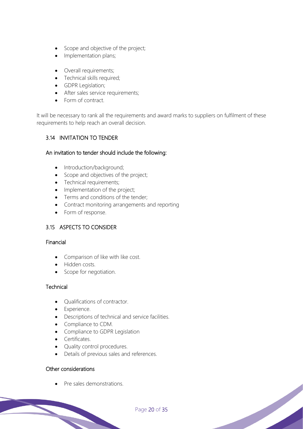- Scope and objective of the project;
- Implementation plans;
- Overall requirements;
- Technical skills required;
- GDPR Legislation;
- After sales service requirements;
- Form of contract.

It will be necessary to rank all the requirements and award marks to suppliers on fulfilment of these requirements to help reach an overall decision.

## 3.14 INVITATION TO TENDER

#### An invitation to tender should include the following:

- Introduction/background;
- Scope and objectives of the project;
- Technical requirements;
- Implementation of the project;
- Terms and conditions of the tender;
- Contract monitoring arrangements and reporting
- Form of response.

## 3.15 ASPECTS TO CONSIDER

#### Financial

- Comparison of like with like cost.
- Hidden costs.
- Scope for negotiation.

## **Technical**

- Qualifications of contractor.
- Experience.
- Descriptions of technical and service facilities.
- Compliance to CDM.
- Compliance to GDPR Legislation
- Certificates.
- Quality control procedures.
- Details of previous sales and references.

## Other considerations

• Pre sales demonstrations.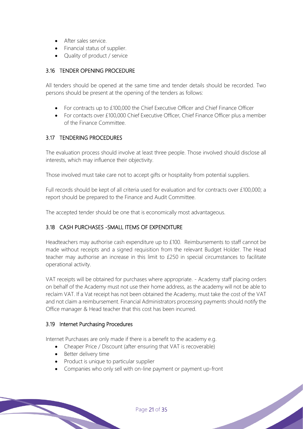- After sales service.
- Financial status of supplier.
- Quality of product / service

## 3.16 TENDER OPENING PROCEDURE

All tenders should be opened at the same time and tender details should be recorded. Two persons should be present at the opening of the tenders as follows:

- For contracts up to £100,000 the Chief Executive Officer and Chief Finance Officer
- For contacts over £100,000 Chief Executive Officer, Chief Finance Officer plus a member of the Finance Committee.

## 3.17 TENDERING PROCEDURES

The evaluation process should involve at least three people. Those involved should disclose all interests, which may influence their objectivity.

Those involved must take care not to accept gifts or hospitality from potential suppliers.

Full records should be kept of all criteria used for evaluation and for contracts over £100,000; a report should be prepared to the Finance and Audit Committee.

The accepted tender should be one that is economically most advantageous.

## 3.18 CASH PURCHASES -SMALL ITEMS OF EXPENDITURE

Headteachers may authorise cash expenditure up to £100. Reimbursements to staff cannot be made without receipts and a signed requisition from the relevant Budget Holder. The Head teacher may authorise an increase in this limit to £250 in special circumstances to facilitate operational activity.

VAT receipts will be obtained for purchases where appropriate. - Academy staff placing orders on behalf of the Academy must not use their home address, as the academy will not be able to reclaim VAT. If a Vat receipt has not been obtained the Academy, must take the cost of the VAT and not claim a reimbursement. Financial Administrators processing payments should notify the Office manager & Head teacher that this cost has been incurred.

#### 3.19 Internet Purchasing Procedures

Internet Purchases are only made if there is a benefit to the academy e.g.

- Cheaper Price / Discount (after ensuring that VAT is recoverable)
- Better delivery time
- Product is unique to particular supplier
- Companies who only sell with on-line payment or payment up-front

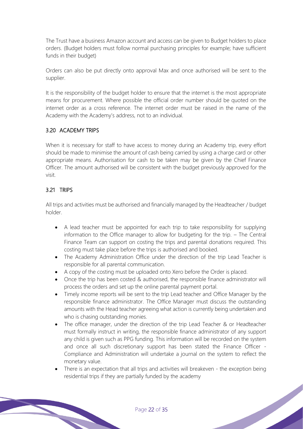The Trust have a business Amazon account and access can be given to Budget holders to place orders. (Budget holders must follow normal purchasing principles for example; have sufficient funds in their budget)

Orders can also be put directly onto approval Max and once authorised will be sent to the supplier.

It is the responsibility of the budget holder to ensure that the internet is the most appropriate means for procurement. Where possible the official order number should be quoted on the internet order as a cross reference. The internet order must be raised in the name of the Academy with the Academy's address, not to an individual.

## 3.20 ACADEMY TRIPS

When it is necessary for staff to have access to money during an Academy trip, every effort should be made to minimise the amount of cash being carried by using a charge card or other appropriate means. Authorisation for cash to be taken may be given by the Chief Finance Officer. The amount authorised will be consistent with the budget previously approved for the visit.

## 3.21 TRIPS

All trips and activities must be authorised and financially managed by the Headteacher / budget holder.

- A lead teacher must be appointed for each trip to take responsibility for supplying information to the Office manager to allow for budgeting for the trip. – The Central Finance Team can support on costing the trips and parental donations required. This costing must take place before the trips is authorised and booked.
- The Academy Administration Office under the direction of the trip Lead Teacher is responsible for all parental communication.
- A copy of the costing must be uploaded onto Xero before the Order is placed.
- Once the trip has been costed & authorised, the responsible finance administrator will process the orders and set up the online parental payment portal.
- Timely income reports will be sent to the trip Lead teacher and Office Manager by the responsible finance administrator. The Office Manager must discuss the outstanding amounts with the Head teacher agreeing what action is currently being undertaken and who is chasing outstanding monies.
- The office manager, under the direction of the trip Lead Teacher & or Headteacher must formally instruct in writing, the responsible finance administrator of any support any child is given such as PPG funding. This information will be recorded on the system and once all such discretionary support has been stated the Finance Officer - Compliance and Administration will undertake a journal on the system to reflect the monetary value.
- There is an expectation that all trips and activities will breakeven the exception being residential trips if they are partially funded by the academy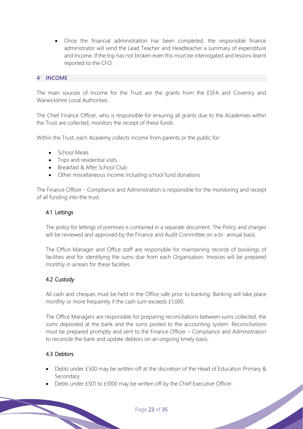• Once the financial administration has been completed, the responsible finance administrator will send the Lead Teacher and Headteacher a summary of expenditure and Income. If the trip has not broken even this must be interrogated and lessons learnt reported to the CFO.

#### **4 INCOME**

The main sources of income for the Trust are the grants from the ESFA and Coventry and Warwickshire Local Authorities.

The Chief Finance Officer, who is responsible for ensuring all grants due to the Academies within the Trust are collected, monitors the receipt of these funds.

Within the Trust, each Academy collects income from parents or the public for:

- School Meals
- Trips and residential visits
- Breakfast & After School Club
- Other miscellaneous income including school fund donations

The Finance Officer - Compliance and Administration is responsible for the monitoring and receipt of all funding into the trust.

#### 4.1 Lettings

The policy for lettings of premises is contained in a separate document. The Policy and charges will be reviewed and approved by the Finance and Audit Committee on a bi- annual basis.

The Office Manager and Office staff are responsible for maintaining records of bookings of facilities and for identifying the sums due from each Organisation. Invoices will be prepared monthly in arrears for these facilities.

#### 4.2 Custody

All cash and cheques must be held in the Office safe prior to banking. Banking will take place monthly or more frequently if the cash sum exceeds £1,000.

The Office Managers are responsible for preparing reconciliations between sums collected, the sums deposited at the bank and the sums posted to the accounting system. Reconciliations must be prepared promptly and sent to the Finance Officer – Compliance and Administration to reconcile the bank and update debtors on an ongoing timely basis.

#### 4.3 Debtors

• Debts under £500 may be written off at the discretion of the Head of Education Primary & Secondary

• Debts under £501 to £1000 may be written off by the Chief Executive Officer.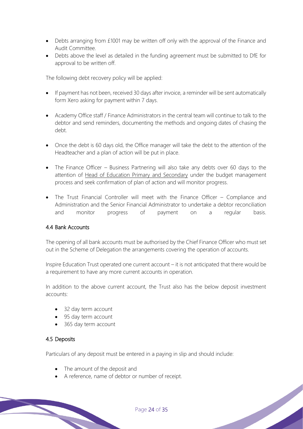- Debts arranging from £1001 may be written off only with the approval of the Finance and Audit Committee.
- Debts above the level as detailed in the funding agreement must be submitted to DfE for approval to be written off.

The following debt recovery policy will be applied:

- If payment has not been, received 30 days after invoice, a reminder will be sent automatically form Xero asking for payment within 7 days.
- Academy Office staff / Finance Administrators in the central team will continue to talk to the debtor and send reminders, documenting the methods and ongoing dates of chasing the debt.
- Once the debt is 60 days old, the Office manager will take the debt to the attention of the Headteacher and a plan of action will be put in place.
- The Finance Officer Business Partnering will also take any debts over 60 days to the attention of Head of Education Primary and Secondary under the budget management process and seek confirmation of plan of action and will monitor progress.
- The Trust Financial Controller will meet with the Finance Officer Compliance and Administration and the Senior Financial Administrator to undertake a debtor reconciliation and monitor progress of payment on a regular basis.

#### 4.4 Bank Accounts

The opening of all bank accounts must be authorised by the Chief Finance Officer who must set out in the Scheme of Delegation the arrangements covering the operation of accounts.

Inspire Education Trust operated one current account – it is not anticipated that there would be a requirement to have any more current accounts in operation.

In addition to the above current account, the Trust also has the below deposit investment accounts:

- 32 day term account
- 95 day term account
- 365 day term account

#### 4.5 Deposits

Particulars of any deposit must be entered in a paying in slip and should include:

- The amount of the deposit and
- A reference, name of debtor or number of receipt.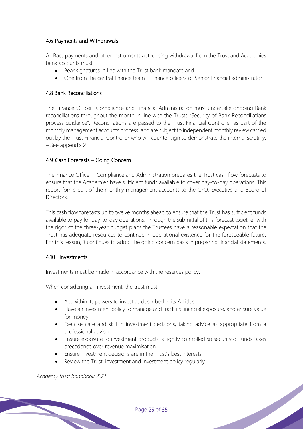## 4.6 Payments and Withdrawals

All Bacs payments and other instruments authorising withdrawal from the Trust and Academies bank accounts must:

- Bear signatures in line with the Trust bank mandate and
- One from the central finance team finance officers or Senior financial administrator

#### 4.8 Bank Reconciliations

The Finance Officer -Compliance and Financial Administration must undertake ongoing Bank reconciliations throughout the month in line with the Trusts "Security of Bank Reconciliations process guidance". Reconciliations are passed to the Trust Financial Controller as part of the monthly management accounts process and are subject to independent monthly review carried out by the Trust Financial Controller who will counter sign to demonstrate the internal scrutiny. – See appendix 2

## 4.9 Cash Forecasts – Going Concern

The Finance Officer - Compliance and Administration prepares the Trust cash flow forecasts to ensure that the Academies have sufficient funds available to cover day-to-day operations. This report forms part of the monthly management accounts to the CFO, Executive and Board of Directors.

This cash flow forecasts up to twelve months ahead to ensure that the Trust has sufficient funds available to pay for day-to-day operations. Through the submittal of this forecast together with the rigor of the three-year budget plans the Trustees have a reasonable expectation that the Trust has adequate resources to continue in operational existence for the foreseeable future. For this reason, it continues to adopt the going concern basis in preparing financial statements.

#### 4.10 Investments

Investments must be made in accordance with the reserves policy.

When considering an investment, the trust must:

- Act within its powers to invest as described in its Articles
- Have an investment policy to manage and track its financial exposure, and ensure value for money
- Exercise care and skill in investment decisions, taking advice as appropriate from a professional advisor
- Ensure exposure to investment products is tightly controlled so security of funds takes precedence over revenue maximisation
- Ensure investment decisions are in the Trust's best interests
- Review the Trust' investment and investment policy regularly

*Academy trust handbook 2021*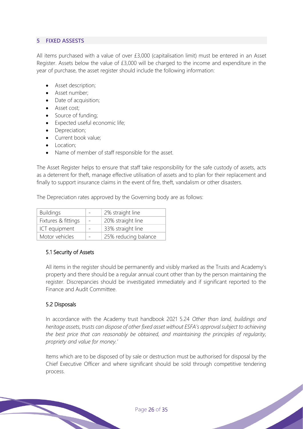### **5 FIXED ASSESTS**

All items purchased with a value of over £3,000 (capitalisation limit) must be entered in an Asset Register. Assets below the value of £3,000 will be charged to the income and expenditure in the year of purchase, the asset register should include the following information:

- Asset description;
- Asset number;
- Date of acquisition;
- Asset cost;
- Source of funding;
- Expected useful economic life;
- Depreciation;
- Current book value;
- Location:
- Name of member of staff responsible for the asset.

The Asset Register helps to ensure that staff take responsibility for the safe custody of assets, acts as a deterrent for theft, manage effective utilisation of assets and to plan for their replacement and finally to support insurance claims in the event of fire, theft, vandalism or other disasters.

The Depreciation rates approved by the Governing body are as follows:

| <b>Buildings</b>    | 2% straight line     |
|---------------------|----------------------|
| Fixtures & fittings | 20% straight line    |
| ICT equipment       | 33% straight line    |
| Motor vehicles      | 25% reducing balance |

#### 5.1 Security of Assets

All items in the register should be permanently and visibly marked as the Trusts and Academy's property and there should be a regular annual count other than by the person maintaining the register. Discrepancies should be investigated immediately and if significant reported to the Finance and Audit Committee.

#### 5.2 Disposals

In accordance with the Academy trust handbook 2021 5.24 *Other than land, buildings and heritage assets, trusts can dispose of other fixed asset without ESFA's approval subject to achieving the best price that can reasonably be obtained, and maintaining the principles of regularity, propriety and value for money.'*

Items which are to be disposed of by sale or destruction must be authorised for disposal by the Chief Executive Officer and where significant should be sold through competitive tendering process.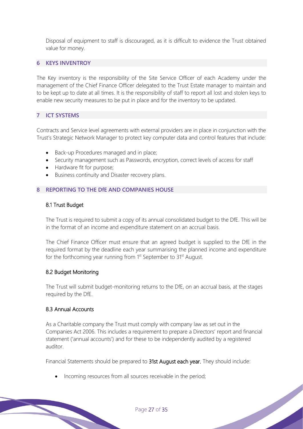Disposal of equipment to staff is discouraged, as it is difficult to evidence the Trust obtained value for money.

#### **6 KEYS INVENTROY**

The Key inventory is the responsibility of the Site Service Officer of each Academy under the management of the Chief Finance Officer delegated to the Trust Estate manager to maintain and to be kept up to date at all times. It is the responsibility of staff to report all lost and stolen keys to enable new security measures to be put in place and for the inventory to be updated.

#### **7 ICT SYSTEMS**

Contracts and Service level agreements with external providers are in place in conjunction with the Trust's Strategic Network Manager to protect key computer data and control features that include:

- Back-up Procedures managed and in place;
- Security management such as Passwords, encryption, correct levels of access for staff
- Hardware fit for purpose;
- Business continuity and Disaster recovery plans.

#### **8 REPORTING TO THE DfE AND COMPANIES HOUSE**

#### 8.1 Trust Budget

The Trust is required to submit a copy of its annual consolidated budget to the DfE. This will be in the format of an income and expenditure statement on an accrual basis.

The Chief Finance Officer must ensure that an agreed budget is supplied to the DfE in the required format by the deadline each year summarising the planned income and expenditure for the forthcoming year running from 1<sup>st</sup> September to 31<sup>st</sup> August.

#### 8.2 Budget Monitoring

The Trust will submit budget-monitoring returns to the DfE, on an accrual basis, at the stages required by the DfE.

#### 8.3 Annual Accounts

As a Charitable company the Trust must comply with company law as set out in the Companies Act 2006. This includes a requirement to prepare a Directors' report and financial statement ('annual accounts') and for these to be independently audited by a registered auditor.

Financial Statements should be prepared to 31st August each year. They should include:

• Incoming resources from all sources receivable in the period;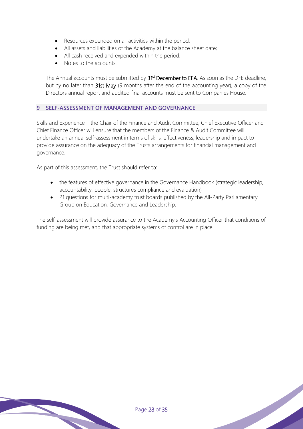- Resources expended on all activities within the period;
- All assets and liabilities of the Academy at the balance sheet date;
- All cash received and expended within the period;
- Notes to the accounts.

The Annual accounts must be submitted by 31<sup>st</sup> December to EFA. As soon as the DFE deadline, but by no later than 31st May (9 months after the end of the accounting year), a copy of the Directors annual report and audited final accounts must be sent to Companies House.

#### **9 SELF-ASSESSMENT OF MANAGEMENT AND GOVERNANCE**

Skills and Experience – the Chair of the Finance and Audit Committee, Chief Executive Officer and Chief Finance Officer will ensure that the members of the Finance & Audit Committee will undertake an annual self-assessment in terms of skills, effectiveness, leadership and impact to provide assurance on the adequacy of the Trusts arrangements for financial management and governance.

As part of this assessment, the Trust should refer to:

- the features of effective governance in the Governance Handbook (strategic leadership, accountability, people, structures compliance and evaluation)
- 21 questions for multi-academy trust boards published by the All-Party Parliamentary Group on Education, Governance and Leadership.

The self-assessment will provide assurance to the Academy's Accounting Officer that conditions of funding are being met, and that appropriate systems of control are in place.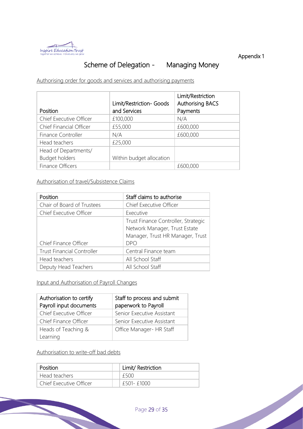

Appendix 1

## Scheme of Delegation - Managing Money

Authorising order for goods and services and authorising payments

|                         | Limit/Restriction- Goods | Limit/Restriction<br><b>Authorising BACS</b> |
|-------------------------|--------------------------|----------------------------------------------|
| Position                | and Services             | Payments                                     |
| Chief Executive Officer | £100,000                 | N/A                                          |
| Chief Financial Officer | £55,000                  | £600,000                                     |
| Finance Controller      | N/A                      | £600,000                                     |
| Head teachers           | £25,000                  |                                              |
| Head of Departments/    |                          |                                              |
| <b>Budget holders</b>   | Within budget allocation |                                              |
| Finance Officers        |                          | £600,000                                     |

Authorisation of travel/Subsistence Claims

| Position                          | Staff claims to authorise                                            |
|-----------------------------------|----------------------------------------------------------------------|
| Chair of Board of Trustees        | Chief Executive Officer                                              |
| Chief Executive Officer           | Executive                                                            |
|                                   | Trust Finance Controller, Strategic<br>Network Manager, Trust Estate |
|                                   | Manager, Trust HR Manager, Trust                                     |
| Chief Finance Officer             | <b>DPO</b>                                                           |
| <b>Trust Financial Controller</b> | Central Finance team                                                 |
| Head teachers                     | All School Staff                                                     |
| Deputy Head Teachers              | All School Staff                                                     |

Input and Authorisation of Payroll Changes

| Authorisation to certify<br>Payroll input documents | Staff to process and submit<br>paperwork to Payroll |  |
|-----------------------------------------------------|-----------------------------------------------------|--|
| Chief Executive Officer                             | Senior Executive Assistant                          |  |
| Chief Finance Officer                               | Senior Executive Assistant                          |  |
| Heads of Teaching &                                 | Office Manager- HR Staff                            |  |
| Learning                                            |                                                     |  |

Authorisation to write-off bad debts

| Position                | Limit/ Restriction |
|-------------------------|--------------------|
| Head teachers           | f500               |
| Chief Executive Officer | £501-£1000         |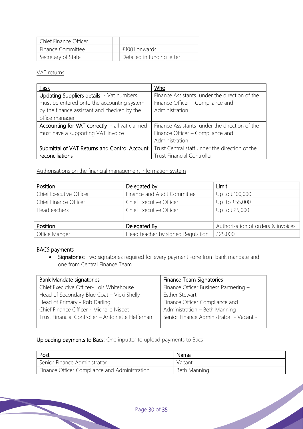| Chief Finance Officer    |                            |
|--------------------------|----------------------------|
| <b>Finance Committee</b> | E1001 onwards              |
| Secretary of State       | Detailed in funding letter |

#### VAT returns

| Task                                           | Who                                            |
|------------------------------------------------|------------------------------------------------|
| Updating Suppliers details - Vat numbers       | Finance Assistants under the direction of the  |
| must be entered onto the accounting system     | Finance Officer - Compliance and               |
| by the finance assistant and checked by the    | Administration                                 |
| office manager                                 |                                                |
| Accounting for VAT correctly - all vat claimed | Finance Assistants under the direction of the  |
| must have a supporting VAT invoice             | Finance Officer - Compliance and               |
|                                                | Administration                                 |
| Submittal of VAT Returns and Control Account   | Trust Central staff under the direction of the |
| reconciliations                                | <b>Trust Financial Controller</b>              |

Authorisations on the financial management information system

| Position                | Delegated by                       | Limit                              |
|-------------------------|------------------------------------|------------------------------------|
| Chief Executive Officer | Finance and Audit Committee        | Up to £100,000                     |
| Chief Finance Officer   | Chief Executive Officer            | Up to £55,000                      |
| Headteachers            | <b>Chief Executive Officer</b>     | Up to £25,000                      |
|                         |                                    |                                    |
| Position                | Delegated By                       | Authorisation of orders & invoices |
| Office Manger           | Head teacher by signed Requisition | £25,000                            |

## BACS payments

• Signatories: Two signatories required for every payment -one from bank mandate and one from Central Finance Team

| <b>Bank Mandate signatories</b>                   | Finance Team Signatories                |  |
|---------------------------------------------------|-----------------------------------------|--|
| Chief Executive Officer- Lois Whitehouse          | Finance Officer Business Partnering -   |  |
| Head of Secondary Blue Coat - Vicki Shelly        | <b>Esther Stewart</b>                   |  |
| Head of Primary - Rob Darling                     | Finance Officer Compliance and          |  |
| Chief Finance Officer - Michelle Nisbet           | Administration - Beth Manning           |  |
| Trust Financial Controller - Antoinette Heffernan | Senior Finance Administrator - Vacant - |  |
|                                                   |                                         |  |

## Uploading payments to Bacs: One inputter to upload payments to Bacs

| Post                                          | Name         |
|-----------------------------------------------|--------------|
| Senior Finance Administrator                  | Vacant       |
| Finance Officer Compliance and Administration | Beth Manning |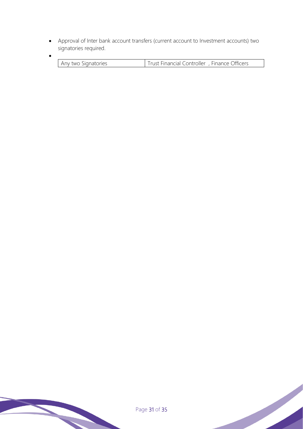• Approval of Inter bank account transfers (current account to Investment accounts) two signatories required.

•

| two Signatories<br>$\Delta NN$ | Financial Controller, Finance Officers |
|--------------------------------|----------------------------------------|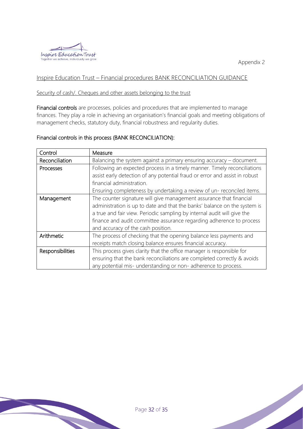



## Inspire Education Trust – Financial procedures BANK RECONCILIATION GUIDANCE

#### Security of cash/. Cheques and other assets belonging to the trust

Financial controls are processes, policies and procedures that are implemented to manage finances. They play a role in achieving an organisation's financial goals and meeting obligations of management checks, statutory duty, financial robustness and regularity duties.

#### Financial controls in this process (BANK RECONCILIATION):

| Control                 | Measure                                                                                                                                                                                                                                                                                                                                   |
|-------------------------|-------------------------------------------------------------------------------------------------------------------------------------------------------------------------------------------------------------------------------------------------------------------------------------------------------------------------------------------|
| Reconciliation          | Balancing the system against a primary ensuring accuracy $-$ document.                                                                                                                                                                                                                                                                    |
| Processes               | Following an expected process in a timely manner. Timely reconciliations<br>assist early detection of any potential fraud or error and assist in robust<br>financial administration.<br>Ensuring completeness by undertaking a review of un-reconciled items.                                                                             |
| Management              | The counter signature will give management assurance that financial<br>administration is up to date and that the banks' balance on the system is<br>a true and fair view. Periodic sampling by internal audit will give the<br>finance and audit committee assurance regarding adherence to process<br>and accuracy of the cash position. |
| Arithmetic              | The process of checking that the opening balance less payments and<br>receipts match closing balance ensures financial accuracy.                                                                                                                                                                                                          |
| <b>Responsibilities</b> | This process gives clarity that the office manager is responsible for<br>ensuring that the bank reconciliations are completed correctly & avoids<br>any potential mis- understanding or non-adherence to process.                                                                                                                         |

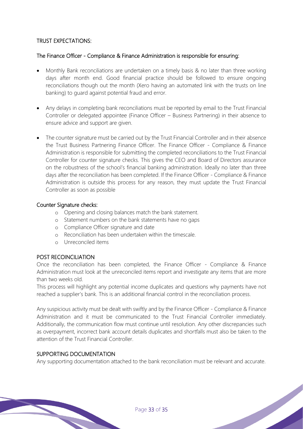#### TRUST EXPECTATIONS:

#### The Finance Officer - Compliance & Finance Administration is responsible for ensuring:

- Monthly Bank reconciliations are undertaken on a timely basis & no later than three working days after month end. Good financial practice should be followed to ensure ongoing reconciliations though out the month (Xero having an automated link with the trusts on line banking) to guard against potential fraud and error.
- Any delays in completing bank reconciliations must be reported by email to the Trust Financial Controller or delegated appointee (Finance Officer – Business Partnering) in their absence to ensure advice and support are given.
- The counter signature must be carried out by the Trust Financial Controller and in their absence the Trust Business Partnering Finance Officer. The Finance Officer - Compliance & Finance Administration is responsible for submitting the completed reconciliations to the Trust Financial Controller for counter signature checks. This gives the CEO and Board of Directors assurance on the robustness of the school's financial banking administration. Ideally no later than three days after the reconciliation has been completed. If the Finance Officer - Compliance & Finance Administration is outside this process for any reason, they must update the Trust Financial Controller as soon as possible

#### Counter Signature checks:

- o Opening and closing balances match the bank statement.
- o Statement numbers on the bank statements have no gaps
- o Compliance Officer signature and date
- o Reconciliation has been undertaken within the timescale.
- o Unreconciled items

#### POST RECOINCILIATION

Once the reconciliation has been completed, the Finance Officer - Compliance & Finance Administration must look at the unreconciled items report and investigate any items that are more than two weeks old.

This process will highlight any potential income duplicates and questions why payments have not reached a supplier's bank. This is an additional financial control in the reconciliation process.

Any suspicious activity must be dealt with swiftly and by the Finance Officer - Compliance & Finance Administration and it must be communicated to the Trust Financial Controller immediately. Additionally, the communication flow must continue until resolution. Any other discrepancies such as overpayment, incorrect bank account details duplicates and shortfalls must also be taken to the attention of the Trust Financial Controller.

## SUPPORTING DOCUMENTATION

Any supporting documentation attached to the bank reconciliation must be relevant and accurate.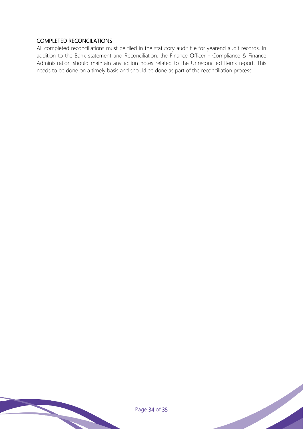## COMPLETED RECONCILATIONS

All completed reconciliations must be filed in the statutory audit file for yearend audit records. In addition to the Bank statement and Reconciliation, the Finance Officer - Compliance & Finance Administration should maintain any action notes related to the Unreconciled Items report. This needs to be done on a timely basis and should be done as part of the reconciliation process.